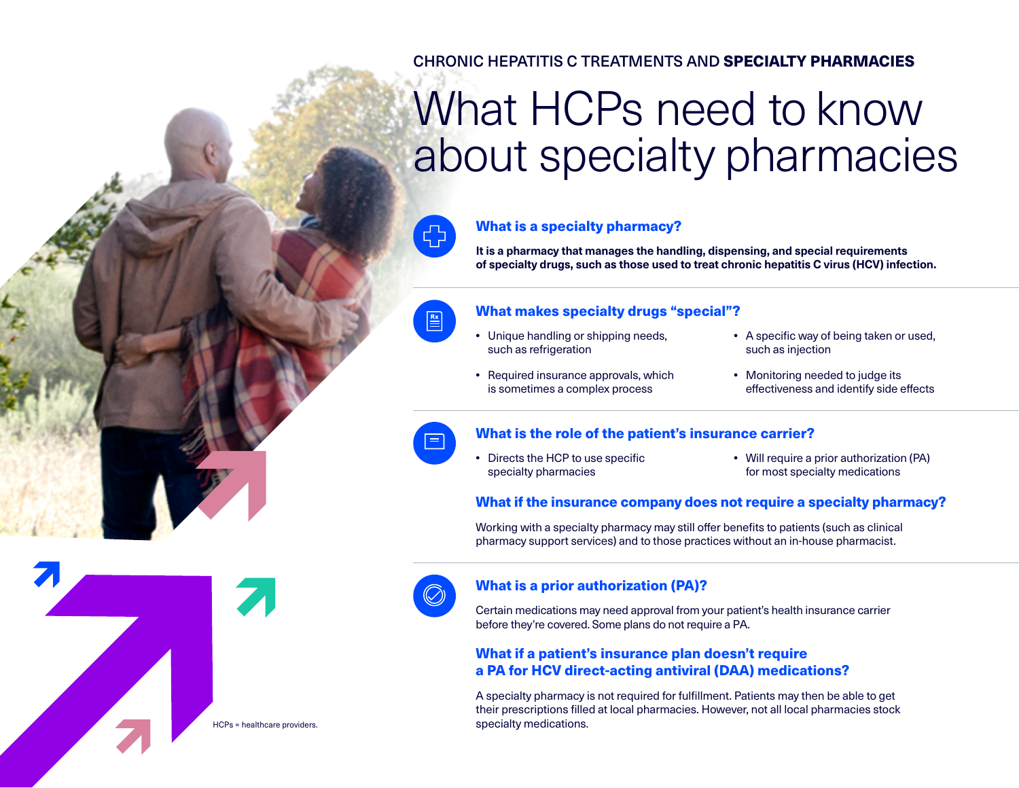# CHRONIC HEPATITIS C TREATMENTS AND SPECIALTY PHARMACIES

# What HCPs need to know about specialty pharmacies



#### What is a specialty pharmacy?

**It is a pharmacy that manages the handling, dispensing, and special requirements of specialty drugs, such as those used to treat chronic hepatitis C virus (HCV) infection.**

# $\boxed{\frac{Rx}{n}}$

#### What makes specialty drugs "special"?

- **•** Unique handling or shipping needs, such as refrigeration
- **•** Required insurance approvals, which is sometimes a complex process
- **•** A specific way of being taken or used, such as injection
- **•** Monitoring needed to judge its effectiveness and identify side effects



#### What is the role of the patient's insurance carrier?

**•** Directs the HCP to use specific specialty pharmacies

**•** Will require a prior authorization (PA) for most specialty medications

#### What if the insurance company does not require a specialty pharmacy?

Working with a specialty pharmacy may still offer benefits to patients (such as clinical pharmacy support services) and to those practices without an in-house pharmacist.



#### What is a prior authorization (PA)?

Certain medications may need approval from your patient's health insurance carrier before they're covered. Some plans do not require a PA.

## What if a patient's insurance plan doesn't require a PA for HCV direct-acting antiviral (DAA) medications?

A specialty pharmacy is not required for fulfillment. Patients may then be able to get their prescriptions filled at local pharmacies. However, not all local pharmacies stock specialty medications.

HCPs = healthcare providers.